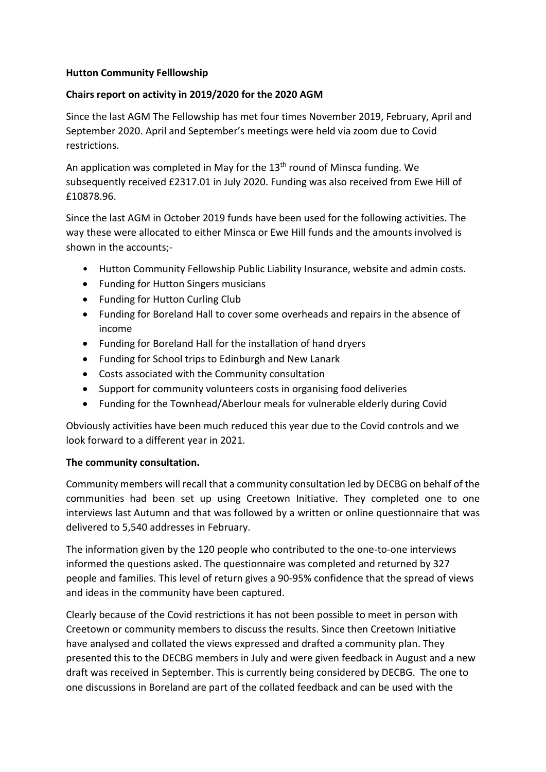## **Hutton Community Felllowship**

### **Chairs report on activity in 2019/2020 for the 2020 AGM**

Since the last AGM The Fellowship has met four times November 2019, February, April and September 2020. April and September's meetings were held via zoom due to Covid restrictions.

An application was completed in May for the 13<sup>th</sup> round of Minsca funding. We subsequently received £2317.01 in July 2020. Funding was also received from Ewe Hill of £10878.96.

Since the last AGM in October 2019 funds have been used for the following activities. The way these were allocated to either Minsca or Ewe Hill funds and the amounts involved is shown in the accounts;-

- Hutton Community Fellowship Public Liability Insurance, website and admin costs.
- Funding for Hutton Singers musicians
- Funding for Hutton Curling Club
- Funding for Boreland Hall to cover some overheads and repairs in the absence of income
- Funding for Boreland Hall for the installation of hand dryers
- Funding for School trips to Edinburgh and New Lanark
- Costs associated with the Community consultation
- Support for community volunteers costs in organising food deliveries
- Funding for the Townhead/Aberlour meals for vulnerable elderly during Covid

Obviously activities have been much reduced this year due to the Covid controls and we look forward to a different year in 2021.

#### **The community consultation.**

Community members will recall that a community consultation led by DECBG on behalf of the communities had been set up using Creetown Initiative. They completed one to one interviews last Autumn and that was followed by a written or online questionnaire that was delivered to 5,540 addresses in February.

The information given by the 120 people who contributed to the one-to-one interviews informed the questions asked. The questionnaire was completed and returned by 327 people and families. This level of return gives a 90-95% confidence that the spread of views and ideas in the community have been captured.

Clearly because of the Covid restrictions it has not been possible to meet in person with Creetown or community members to discuss the results. Since then Creetown Initiative have analysed and collated the views expressed and drafted a community plan. They presented this to the DECBG members in July and were given feedback in August and a new draft was received in September. This is currently being considered by DECBG. The one to one discussions in Boreland are part of the collated feedback and can be used with the